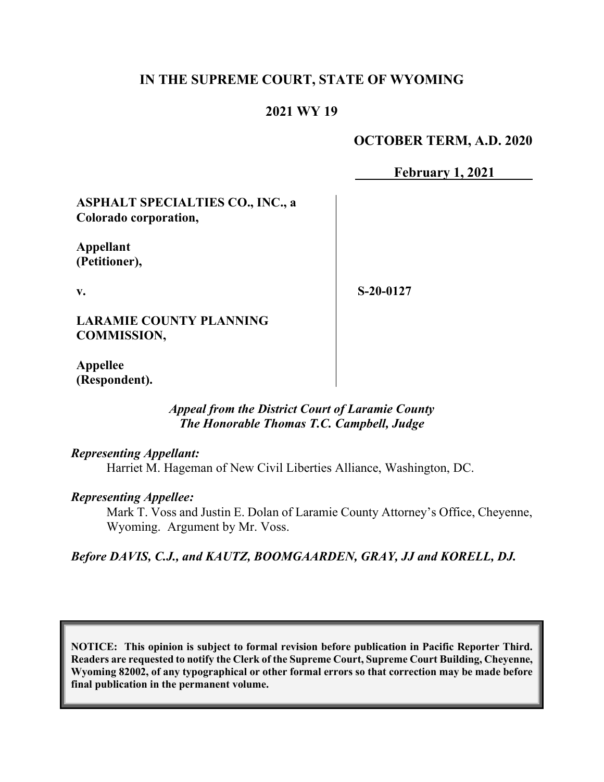# **IN THE SUPREME COURT, STATE OF WYOMING**

# **2021 WY 19**

## **OCTOBER TERM, A.D. 2020**

**February 1, 2021**

**ASPHALT SPECIALTIES CO., INC., a Colorado corporation,**

**Appellant (Petitioner),**

**v.**

**S-20-0127**

**LARAMIE COUNTY PLANNING COMMISSION,**

**Appellee (Respondent).**

### *Appeal from the District Court of Laramie County The Honorable Thomas T.C. Campbell, Judge*

*Representing Appellant:* Harriet M. Hageman of New Civil Liberties Alliance, Washington, DC.

#### *Representing Appellee:*

Mark T. Voss and Justin E. Dolan of Laramie County Attorney's Office, Cheyenne, Wyoming. Argument by Mr. Voss.

*Before DAVIS, C.J., and KAUTZ, BOOMGAARDEN, GRAY, JJ and KORELL, DJ.*

**NOTICE: This opinion is subject to formal revision before publication in Pacific Reporter Third. Readers are requested to notify the Clerk of the Supreme Court, Supreme Court Building, Cheyenne, Wyoming 82002, of any typographical or other formal errors so that correction may be made before final publication in the permanent volume.**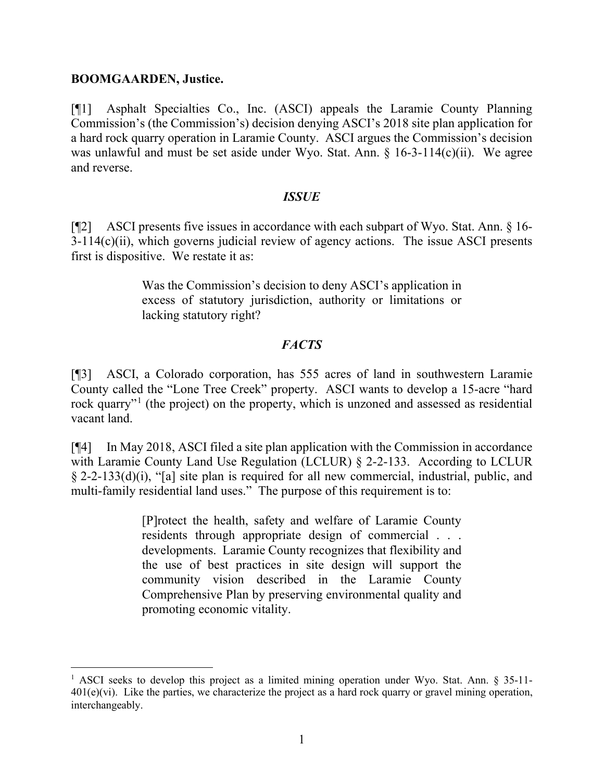#### **BOOMGAARDEN, Justice.**

[¶1] Asphalt Specialties Co., Inc. (ASCI) appeals the Laramie County Planning Commission's (the Commission's) decision denying ASCI's 2018 site plan application for a hard rock quarry operation in Laramie County. ASCI argues the Commission's decision was unlawful and must be set aside under Wyo. Stat. Ann. § 16-3-114(c)(ii). We agree and reverse.

## *ISSUE*

[¶2] ASCI presents five issues in accordance with each subpart of Wyo. Stat. Ann. § 16- 3-114(c)(ii), which governs judicial review of agency actions. The issue ASCI presents first is dispositive. We restate it as:

> Was the Commission's decision to deny ASCI's application in excess of statutory jurisdiction, authority or limitations or lacking statutory right?

# *FACTS*

[¶3] ASCI, a Colorado corporation, has 555 acres of land in southwestern Laramie County called the "Lone Tree Creek" property. ASCI wants to develop a 15-acre "hard rock quarry"<sup>[1](#page-1-0)</sup> (the project) on the property, which is unzoned and assessed as residential vacant land.

[¶4] In May 2018, ASCI filed a site plan application with the Commission in accordance with Laramie County Land Use Regulation (LCLUR) § 2-2-133. According to LCLUR § 2-2-133(d)(i), "[a] site plan is required for all new commercial, industrial, public, and multi-family residential land uses." The purpose of this requirement is to:

> [P]rotect the health, safety and welfare of Laramie County residents through appropriate design of commercial . . . developments. Laramie County recognizes that flexibility and the use of best practices in site design will support the community vision described in the Laramie County Comprehensive Plan by preserving environmental quality and promoting economic vitality.

<span id="page-1-0"></span><sup>&</sup>lt;sup>1</sup> ASCI seeks to develop this project as a limited mining operation under Wyo. Stat. Ann. § 35-11- $401(e)(vi)$ . Like the parties, we characterize the project as a hard rock quarry or gravel mining operation, interchangeably.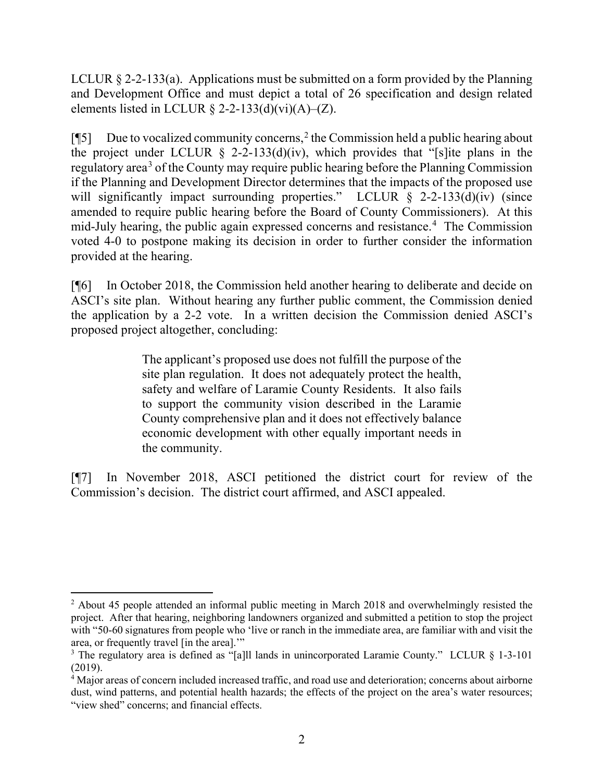LCLUR § 2-2-133(a). Applications must be submitted on a form provided by the Planning and Development Office and must depict a total of 26 specification and design related elements listed in LCLUR  $\S$  2-2-133(d)(vi)(A)–(Z).

[¶5] Due to vocalized community concerns, [2](#page-2-0) the Commission held a public hearing about the project under LCLUR  $\S$  2-2-133(d)(iv), which provides that "[s] ite plans in the regulatory area<sup>[3](#page-2-1)</sup> of the County may require public hearing before the Planning Commission if the Planning and Development Director determines that the impacts of the proposed use will significantly impact surrounding properties." LCLUR § 2-2-133(d)(iv) (since amended to require public hearing before the Board of County Commissioners). At this mid-July hearing, the public again expressed concerns and resistance.<sup>[4](#page-2-2)</sup> The Commission voted 4-0 to postpone making its decision in order to further consider the information provided at the hearing.

[¶6] In October 2018, the Commission held another hearing to deliberate and decide on ASCI's site plan. Without hearing any further public comment, the Commission denied the application by a 2-2 vote. In a written decision the Commission denied ASCI's proposed project altogether, concluding:

> The applicant's proposed use does not fulfill the purpose of the site plan regulation. It does not adequately protect the health, safety and welfare of Laramie County Residents. It also fails to support the community vision described in the Laramie County comprehensive plan and it does not effectively balance economic development with other equally important needs in the community.

[¶7] In November 2018, ASCI petitioned the district court for review of the Commission's decision. The district court affirmed, and ASCI appealed.

<span id="page-2-0"></span><sup>&</sup>lt;sup>2</sup> About 45 people attended an informal public meeting in March 2018 and overwhelmingly resisted the project. After that hearing, neighboring landowners organized and submitted a petition to stop the project with "50-60 signatures from people who 'live or ranch in the immediate area, are familiar with and visit the area, or frequently travel [in the area].'"

<span id="page-2-1"></span><sup>&</sup>lt;sup>3</sup> The regulatory area is defined as "[a]ll lands in unincorporated Laramie County." LCLUR § 1-3-101 (2019).

<span id="page-2-2"></span><sup>&</sup>lt;sup>4</sup> Major areas of concern included increased traffic, and road use and deterioration; concerns about airborne dust, wind patterns, and potential health hazards; the effects of the project on the area's water resources; "view shed" concerns; and financial effects.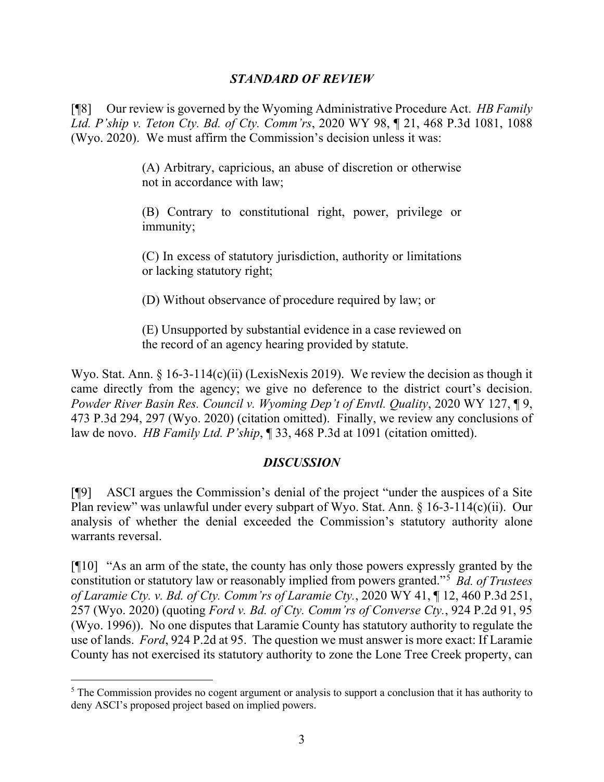## *STANDARD OF REVIEW*

[¶8] Our review is governed by the Wyoming Administrative Procedure Act. *HB Family Ltd. P'ship v. Teton Cty. Bd. of Cty. Comm'rs*, 2020 WY 98, ¶ 21, 468 P.3d 1081, 1088 (Wyo. 2020). We must affirm the Commission's decision unless it was:

> (A) Arbitrary, capricious, an abuse of discretion or otherwise not in accordance with law;

> (B) Contrary to constitutional right, power, privilege or immunity;

> (C) In excess of statutory jurisdiction, authority or limitations or lacking statutory right;

(D) Without observance of procedure required by law; or

(E) Unsupported by substantial evidence in a case reviewed on the record of an agency hearing provided by statute.

Wyo. Stat. Ann. § 16-3-114(c)(ii) (LexisNexis 2019). We review the decision as though it came directly from the agency; we give no deference to the district court's decision. *Powder River Basin Res. Council v. Wyoming Dep't of Envtl. Quality*, 2020 WY 127, ¶ 9, 473 P.3d 294, 297 (Wyo. 2020) (citation omitted). Finally, we review any conclusions of law de novo. *HB Family Ltd. P'ship*, ¶ 33, 468 P.3d at 1091 (citation omitted).

# *DISCUSSION*

[¶9] ASCI argues the Commission's denial of the project "under the auspices of a Site Plan review" was unlawful under every subpart of Wyo. Stat. Ann. § 16-3-114(c)(ii). Our analysis of whether the denial exceeded the Commission's statutory authority alone warrants reversal.

[¶10] "As an arm of the state, the county has only those powers expressly granted by the constitution or statutory law or reasonably implied from powers granted."[5](#page-3-0) *Bd. of Trustees of Laramie Cty. v. Bd. of Cty. Comm'rs of Laramie Cty.*, 2020 WY 41, ¶ 12, 460 P.3d 251, 257 (Wyo. 2020) (quoting *Ford v. Bd. of Cty. Comm'rs of Converse Cty.*, 924 P.2d 91, 95 (Wyo. 1996)). No one disputes that Laramie County has statutory authority to regulate the use of lands. *Ford*, 924 P.2d at 95. The question we must answer is more exact: If Laramie County has not exercised its statutory authority to zone the Lone Tree Creek property, can

<span id="page-3-0"></span><sup>&</sup>lt;sup>5</sup> The Commission provides no cogent argument or analysis to support a conclusion that it has authority to deny ASCI's proposed project based on implied powers.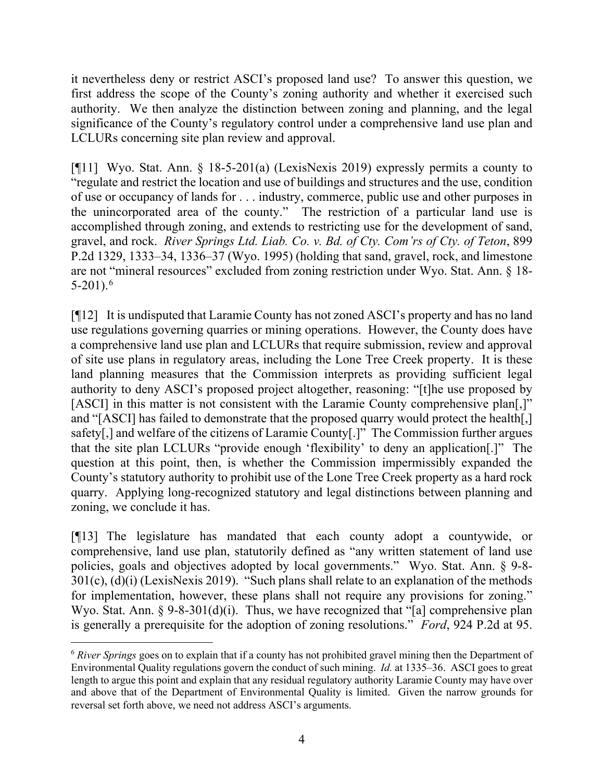it nevertheless deny or restrict ASCI's proposed land use? To answer this question, we first address the scope of the County's zoning authority and whether it exercised such authority. We then analyze the distinction between zoning and planning, and the legal significance of the County's regulatory control under a comprehensive land use plan and LCLURs concerning site plan review and approval.

[¶11] Wyo. Stat. Ann. § 18-5-201(a) (LexisNexis 2019) expressly permits a county to "regulate and restrict the location and use of buildings and structures and the use, condition of use or occupancy of lands for . . . industry, commerce, public use and other purposes in the unincorporated area of the county." The restriction of a particular land use is accomplished through zoning, and extends to restricting use for the development of sand, gravel, and rock. *River Springs Ltd. Liab. Co. v. Bd. of Cty. Com'rs of Cty. of Teton*, 899 P.2d 1329, 1333–34, 1336–37 (Wyo. 1995) (holding that sand, gravel, rock, and limestone are not "mineral resources" excluded from zoning restriction under Wyo. Stat. Ann. § 18-  $5-201$ ).<sup>[6](#page-4-0)</sup>

[¶12] It is undisputed that Laramie County has not zoned ASCI's property and has no land use regulations governing quarries or mining operations. However, the County does have a comprehensive land use plan and LCLURs that require submission, review and approval of site use plans in regulatory areas, including the Lone Tree Creek property. It is these land planning measures that the Commission interprets as providing sufficient legal authority to deny ASCI's proposed project altogether, reasoning: "[t]he use proposed by [ASCI] in this matter is not consistent with the Laramie County comprehensive plan[,]" and "[ASCI] has failed to demonstrate that the proposed quarry would protect the health[,] safety[,] and welfare of the citizens of Laramie County[.]" The Commission further argues that the site plan LCLURs "provide enough 'flexibility' to deny an application[.]" The question at this point, then, is whether the Commission impermissibly expanded the County's statutory authority to prohibit use of the Lone Tree Creek property as a hard rock quarry. Applying long-recognized statutory and legal distinctions between planning and zoning, we conclude it has.

[¶13] The legislature has mandated that each county adopt a countywide, or comprehensive, land use plan, statutorily defined as "any written statement of land use policies, goals and objectives adopted by local governments." Wyo. Stat. Ann. § 9-8- 301(c), (d)(i) (LexisNexis 2019). "Such plans shall relate to an explanation of the methods for implementation, however, these plans shall not require any provisions for zoning." Wyo. Stat. Ann. § 9-8-301(d)(i). Thus, we have recognized that "[a] comprehensive plan is generally a prerequisite for the adoption of zoning resolutions." *Ford*, 924 P.2d at 95.

<span id="page-4-0"></span><sup>6</sup> *River Springs* goes on to explain that if a county has not prohibited gravel mining then the Department of Environmental Quality regulations govern the conduct of such mining. *Id.* at 1335–36. ASCI goes to great length to argue this point and explain that any residual regulatory authority Laramie County may have over and above that of the Department of Environmental Quality is limited. Given the narrow grounds for reversal set forth above, we need not address ASCI's arguments.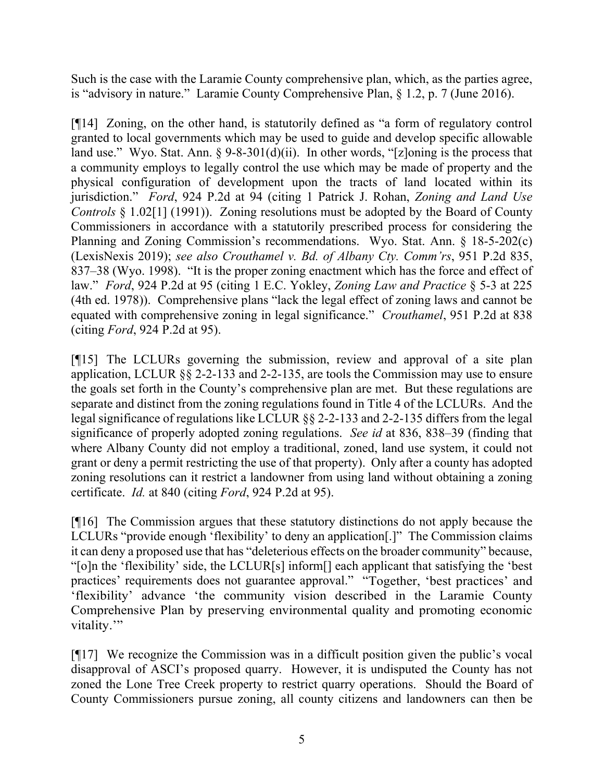Such is the case with the Laramie County comprehensive plan, which, as the parties agree, is "advisory in nature." Laramie County Comprehensive Plan, § 1.2, p. 7 (June 2016).

[¶14] Zoning, on the other hand, is statutorily defined as "a form of regulatory control granted to local governments which may be used to guide and develop specific allowable land use." Wyo. Stat. Ann.  $\S 9-8-301(d)(ii)$ . In other words, "[z]oning is the process that a community employs to legally control the use which may be made of property and the physical configuration of development upon the tracts of land located within its jurisdiction." *Ford*, 924 P.2d at 94 (citing 1 Patrick J. Rohan, *Zoning and Land Use Controls* § 1.02[1] (1991)). Zoning resolutions must be adopted by the Board of County Commissioners in accordance with a statutorily prescribed process for considering the Planning and Zoning Commission's recommendations. Wyo. Stat. Ann. § 18-5-202(c) (LexisNexis 2019); *see also Crouthamel v. Bd. of Albany Cty. Comm'rs*, 951 P.2d 835, 837–38 (Wyo. 1998). "It is the proper zoning enactment which has the force and effect of law." *Ford*, 924 P.2d at 95 (citing 1 E.C. Yokley, *Zoning Law and Practice* § 5-3 at 225 (4th ed. 1978)). Comprehensive plans "lack the legal effect of zoning laws and cannot be equated with comprehensive zoning in legal significance." *Crouthamel*, 951 P.2d at 838 (citing *Ford*, 924 P.2d at 95).

[¶15] The LCLURs governing the submission, review and approval of a site plan application, LCLUR §§ 2-2-133 and 2-2-135, are tools the Commission may use to ensure the goals set forth in the County's comprehensive plan are met. But these regulations are separate and distinct from the zoning regulations found in Title 4 of the LCLURs. And the legal significance of regulations like LCLUR §§ 2-2-133 and 2-2-135 differs from the legal significance of properly adopted zoning regulations. *See id* at 836, 838–39 (finding that where Albany County did not employ a traditional, zoned, land use system, it could not grant or deny a permit restricting the use of that property). Only after a county has adopted zoning resolutions can it restrict a landowner from using land without obtaining a zoning certificate. *Id.* at 840 (citing *Ford*, 924 P.2d at 95).

[¶16] The Commission argues that these statutory distinctions do not apply because the LCLURs "provide enough 'flexibility' to deny an application[.]" The Commission claims it can deny a proposed use that has "deleterious effects on the broader community" because, "[o]n the 'flexibility' side, the LCLUR[s] inform[] each applicant that satisfying the 'best practices' requirements does not guarantee approval." "Together, 'best practices' and 'flexibility' advance 'the community vision described in the Laramie County Comprehensive Plan by preserving environmental quality and promoting economic vitality."

[¶17] We recognize the Commission was in a difficult position given the public's vocal disapproval of ASCI's proposed quarry. However, it is undisputed the County has not zoned the Lone Tree Creek property to restrict quarry operations. Should the Board of County Commissioners pursue zoning, all county citizens and landowners can then be